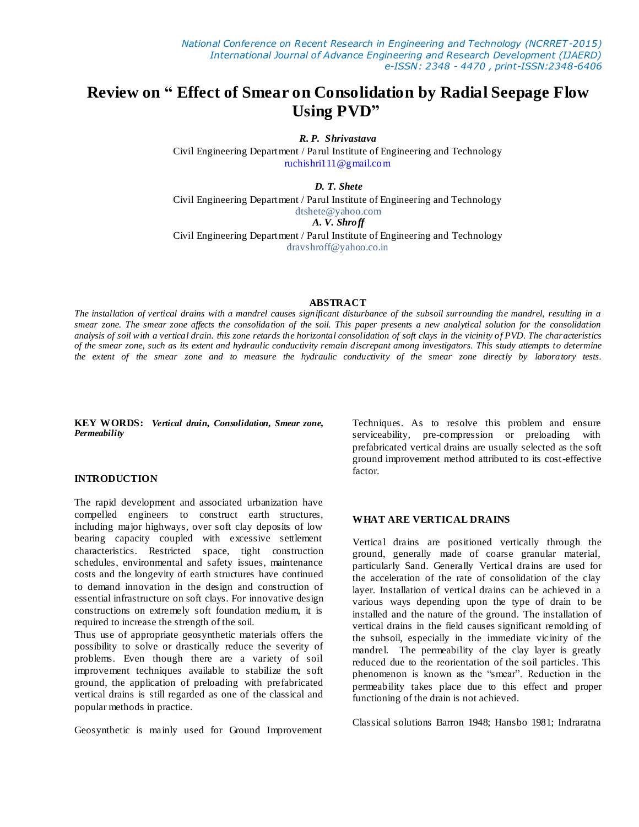# **Review on " Effect of Smear on Consolidation by Radial Seepage Flow Using PVD"**

*R. P. Shrivastava* 

Civil Engineering Department / Parul Institute of Engineering and Technology [ruchishri111@gmail.com](mailto:ruchishri111@gmail.com)

*D. T. Shete*

Civil Engineering Department / Parul Institute of Engineering and Technology dtshete@yahoo.com

*A. V. Shroff*

Civil Engineering Department / Parul Institute of Engineering and Technology dravshroff@yahoo.co.in

#### **ABSTRACT**

*The installation of vertical drains with a mandrel causes significant disturbance of the subsoil surrounding the mandrel, resulting in a smear zone. The smear zone affects the consolidation of the soil. This paper presents a new analytical solution for the consolidation analysis of soil with a vertical drain. this zone retards the horizontal consolidation of soft clays in the vicinity of PVD. The characteristics of the smear zone, such as its extent and hydraulic conductivity remain discrepant among investigators. This study attempts to determine the extent of the smear zone and to measure the hydraulic conductivity of the smear zone directly by laboratory tests.* 

**KEY WORDS:** *Vertical drain, Consolidation, Smear zone, Permeability*

#### **INTRODUCTION**

The rapid development and associated urbanization have compelled engineers to construct earth structures, including major highways, over soft clay deposits of low bearing capacity coupled with excessive settlement characteristics. Restricted space, tight construction schedules, environmental and safety issues, maintenance costs and the longevity of earth structures have continued to demand innovation in the design and construction of essential infrastructure on soft clays. For innovative design constructions on extremely soft foundation medium, it is required to increase the strength of the soil.

Thus use of appropriate geosynthetic materials offers the possibility to solve or drastically reduce the severity of problems. Even though there are a variety of soil improvement techniques available to stabilize the soft ground, the application of preloading with prefabricated vertical drains is still regarded as one of the classical and popular methods in practice.

Geosynthetic is mainly used for Ground Improvement

Techniques. As to resolve this problem and ensure serviceability, pre-compression or preloading with prefabricated vertical drains are usually selected as the soft ground improvement method attributed to its cost-effective factor.

#### **WHAT ARE VERTICAL DRAINS**

Vertical drains are positioned vertically through the ground, generally made of coarse granular material, particularly Sand. Generally Vertical drains are used for the acceleration of the rate of consolidation of the clay layer. Installation of vertical drains can be achieved in a various ways depending upon the type of drain to be installed and the nature of the ground. The installation of vertical drains in the field causes significant remolding of the subsoil, especially in the immediate vicinity of the mandrel. The permeability of the clay layer is greatly reduced due to the reorientation of the soil particles. This phenomenon is known as the "smear". Reduction in the permeability takes place due to this effect and proper functioning of the drain is not achieved.

Classical solutions Barron 1948; Hansbo 1981; Indraratna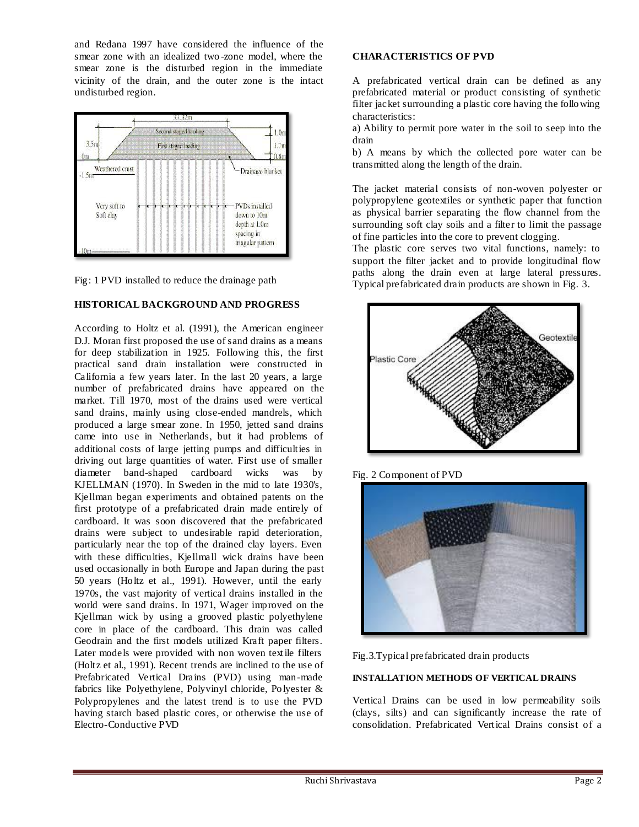and Redana 1997 have considered the influence of the smear zone with an idealized two -zone model, where the smear zone is the disturbed region in the immediate vicinity of the drain, and the outer zone is the intact undisturbed region.



Fig: 1 PVD installed to reduce the drainage path

## **HISTORICAL BACKGROUND AND PROGRESS**

According to Holtz et al. (1991), the American engineer D.J. Moran first proposed the use of sand drains as a means for deep stabilization in 1925. Following this, the first practical sand drain installation were constructed in California a few years later. In the last 20 years, a large number of prefabricated drains have appeared on the market. Till 1970, most of the drains used were vertical sand drains, mainly using close-ended mandrels, which produced a large smear zone. In 1950, jetted sand drains came into use in Netherlands, but it had problems of additional costs of large jetting pumps and difficulties in driving out large quantities of water. First use of smaller diameter band-shaped cardboard wicks was by KJELLMAN (1970). In Sweden in the mid to late 1930's, Kjellman began experiments and obtained patents on the first prototype of a prefabricated drain made entirely of cardboard. It was soon discovered that the prefabricated drains were subject to undesirable rapid deterioration, particularly near the top of the drained clay layers. Even with these difficulties, Kjellmall wick drains have been used occasionally in both Europe and Japan during the past 50 years (Holtz et al., 1991). However, until the early 1970s, the vast majority of vertical drains installed in the world were sand drains. In 1971, Wager improved on the Kjellman wick by using a grooved plastic polyethylene core in place of the cardboard. This drain was called Geodrain and the first models utilized Kraft paper filters. Later models were provided with non woven textile filters (Holtz et al., 1991). Recent trends are inclined to the use of Prefabricated Vertical Drains (PVD) using man-made fabrics like Polyethylene, Polyvinyl chloride, Polyester & Polypropylenes and the latest trend is to use the PVD having starch based plastic cores, or otherwise the use of Electro-Conductive PVD

## **CHARACTERISTICS OF PVD**

A prefabricated vertical drain can be defined as any prefabricated material or product consisting of synthetic filter jacket surrounding a plastic core having the following characteristics:

a) Ability to permit pore water in the soil to seep into the drain

b) A means by which the collected pore water can be transmitted along the length of the drain.

The jacket material consists of non-woven polyester or polypropylene geotextiles or synthetic paper that function as physical barrier separating the flow channel from the surrounding soft clay soils and a filter to limit the passage of fine particles into the core to prevent clogging.

The plastic core serves two vital functions, namely: to support the filter jacket and to provide longitudinal flow paths along the drain even at large lateral pressures. Typical prefabricated drain products are shown in Fig. 3.



Fig. 2 Component of PVD





## **INSTALLATION METHODS OF VERTICAL DRAINS**

Vertical Drains can be used in low permeability soils (clays, silts) and can significantly increase the rate of consolidation. Prefabricated Vertical Drains consist of a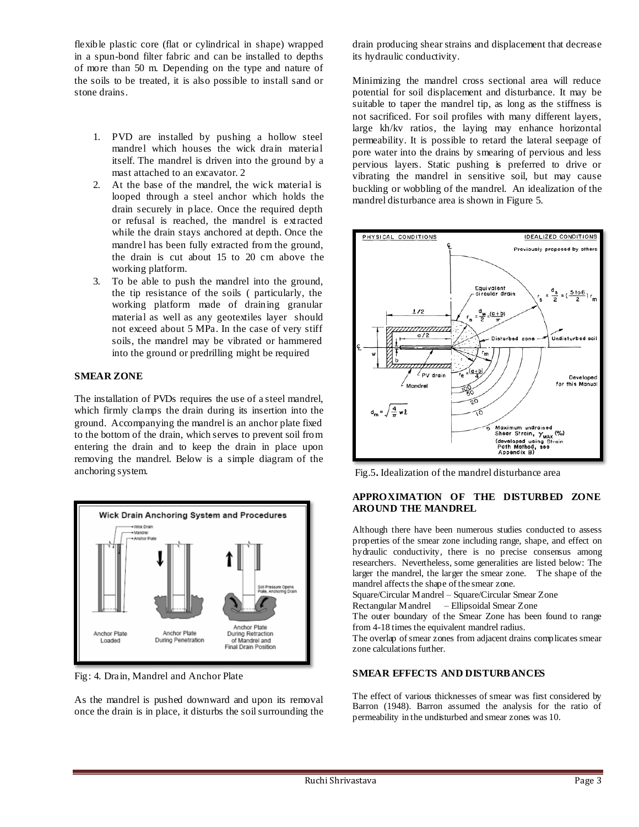flexible plastic core (flat or cylindrical in shape) wrapped in a spun-bond filter fabric and can be installed to depths of more than 50 m. Depending on the type and nature of the soils to be treated, it is also possible to install sand or stone drains.

- 1. PVD are installed by pushing a hollow steel mandrel which houses the wick drain material itself. The mandrel is driven into the ground by a mast attached to an excavator. 2
- 2. At the base of the mandrel, the wick material is looped through a steel anchor which holds the drain securely in place. Once the required depth or refusal is reached, the mandrel is extracted while the drain stays anchored at depth. Once the mandrel has been fully extracted from the ground, the drain is cut about 15 to 20 cm above the working platform.
- 3. To be able to push the mandrel into the ground, the tip resistance of the soils ( particularly, the working platform made of draining granular material as well as any geotextiles layer should not exceed about 5 MPa. In the case of very stiff soils, the mandrel may be vibrated or hammered into the ground or predrilling might be required

## **SMEAR ZONE**

The installation of PVDs requires the use of a steel mandrel, which firmly clamps the drain during its insertion into the ground. Accompanying the mandrel is an anchor plate fixed to the bottom of the drain, which serves to prevent soil from entering the drain and to keep the drain in place upon removing the mandrel. Below is a simple diagram of the anchoring system.



Fig: 4. Drain, Mandrel and Anchor Plate

As the mandrel is pushed downward and upon its removal once the drain is in place, it disturbs the soil surrounding the drain producing shear strains and displacement that decrease its hydraulic conductivity.

Minimizing the mandrel cross sectional area will reduce potential for soil displacement and disturbance. It may be suitable to taper the mandrel tip, as long as the stiffness is not sacrificed. For soil profiles with many different layers, large kh/kv ratios, the laying may enhance horizontal permeability. It is possible to retard the lateral seepage of pore water into the drains by smearing of pervious and less pervious layers. Static pushing is preferred to drive or vibrating the mandrel in sensitive soil, but may cause buckling or wobbling of the mandrel. An idealization of the mandrel disturbance area is shown in Figure 5.



Fig.5**.** Idealization of the mandrel disturbance area

## **APPROXIMATION OF THE DISTURBED ZONE AROUND THE MANDREL**

Although there have been numerous studies conducted to assess properties of the smear zone including range, shape, and effect on hydraulic conductivity, there is no precise consensus among researchers. Nevertheless, some generalities are listed below: The larger the mandrel, the larger the smear zone. The shape of the mandrel affects the shape of the smear zone. Square/Circular Mandrel – Square/Circular Smear Zone Rectangular Mandrel – Ellipsoidal Smear Zone The outer boundary of the Smear Zone has been found to range from 4-18 times the equivalent mandrel radius. The overlap of smear zones from adjacent drains complicates smear zone calculations further.

## **SMEAR EFFECTS AND DISTURBANCES**

The effect of various thicknesses of smear was first considered by Barron (1948). Barron assumed the analysis for the ratio of permeability in the undisturbed and smear zones was 10.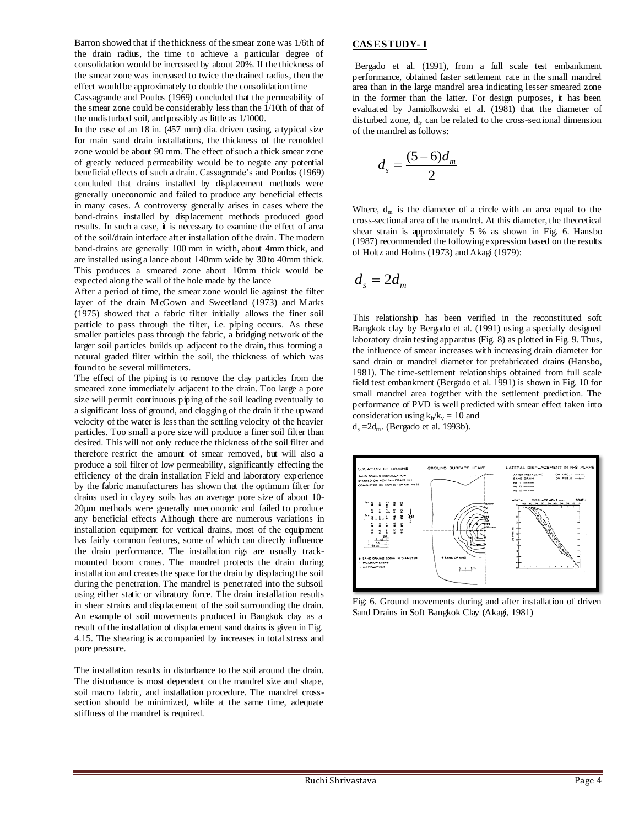Barron showed that if the thickness of the smear zone was 1/6th of the drain radius, the time to achieve a particular degree of consolidation would be increased by about 20%. If the thickness of the smear zone was increased to twice the drained radius, then the effect would be approximately to double the consolidation time

Cassagrande and Poulos (1969) concluded that the permeability of the smear zone could be considerably less than the 1/10th of that of the undisturbed soil, and possibly as little as 1/1000.

In the case of an 18 in. (457 mm) dia. driven casing, a typical size for main sand drain installations, the thickness of the remolded zone would be about 90 mm. The effect of such a thick smear zone of greatly reduced permeability would be to negate any potential beneficial effects of such a drain. Cassagrande's and Poulos (1969) concluded that drains installed by displacement methods were generally uneconomic and failed to produce any beneficial effects in many cases. A controversy generally arises in cases where the band-drains installed by displacement methods produced good results. In such a case, it is necessary to examine the effect of area of the soil/drain interface after installation of the drain. The modern band-drains are generally 100 mm in width, about 4mm thick, and are installed using a lance about 140mm wide by 30 to 40mm thick. This produces a smeared zone about 10mm thick would be expected along the wall of the hole made by the lance

After a period of time, the smear zone would lie against the filter layer of the drain McGown and Sweetland (1973) and Marks (1975) showed that a fabric filter initially allows the finer soil particle to pass through the filter, i.e. piping occurs. As these smaller particles pass through the fabric, a bridging network of the larger soil particles builds up adjacent to the drain, thus forming a natural graded filter within the soil, the thickness of which was found to be several millimeters.

The effect of the piping is to remove the clay particles from the smeared zone immediately adjacent to the drain. Too large a pore size will permit continuous piping of the soil leading eventually to a significant loss of ground, and clogging of the drain if the upward velocity of the water is less than the settling velocity of the heavier particles. Too small a pore size will produce a finer soil filter than desired. This will not only reduce the thickness of the soil filter and therefore restrict the amount of smear removed, but will also a produce a soil filter of low permeability, significantly effecting the efficiency of the drain installation Field and laboratory experience by the fabric manufacturers has shown that the optimum filter for drains used in clayey soils has an average pore size of about 10- 20μm methods were generally uneconomic and failed to produce any beneficial effects Although there are numerous variations in installation equipment for vertical drains, most of the equipment has fairly common features, some of which can directly influence the drain performance. The installation rigs are usually trackmounted boom cranes. The mandrel protects the drain during installation and creates the space for the drain by displacing the soil during the penetration. The mandrel is penetrated into the subsoil using either static or vibratory force. The drain installation results in shear strains and displacement of the soil surrounding the drain. An example of soil movements produced in Bangkok clay as a result of the installation of displacement sand drains is given in Fig. 4.15. The shearing is accompanied by increases in total stress and pore pressure.

The installation results in disturbance to the soil around the drain. The disturbance is most dependent on the mandrel size and shape, soil macro fabric, and installation procedure. The mandrel crosssection should be minimized, while at the same time, adequate stiffness of the mandrel is required.

#### **CAS E STUDY- I**

Bergado et al. (1991), from a full scale test embankment performance, obtained faster settlement rate in the small mandrel area than in the large mandrel area indicating lesser smeared zone in the former than the latter. For design purposes, it has been evaluated by Jamiolkowski et al. (1981) that the diameter of disturbed zone,  $d_s$ , can be related to the cross-sectional dimension of the mandrel as follows:

$$
d_s = \frac{(5-6)d_m}{2}
$$

Where,  $d_m$  is the diameter of a circle with an area equal to the cross-sectional area of the mandrel. At this diameter, the theoretical shear strain is approximately 5 % as shown in Fig. 6. Hansbo (1987) recommended the following expression based on the results of Holtz and Holms (1973) and Akagi (1979):

$$
d_s=2d_m
$$

This relationship has been verified in the reconstituted soft Bangkok clay by Bergado et al. (1991) using a specially designed laboratory drain testing apparatus (Fig. 8) as plotted in Fig. 9. Thus, the influence of smear increases with increasing drain diameter for sand drain or mandrel diameter for prefabricated drains (Hansbo, 1981). The time-settlement relationships obtained from full scale field test embankment (Bergado et al. 1991) is shown in Fig. 10 for small mandrel area together with the settlement prediction. The performance of PVD is well predicted with smear effect taken into consideration using  $k_h/k_v = 10$  and  $d_s = 2d_m$ . (Bergado et al. 1993b).



Fig: 6. Ground movements during and after installation of driven Sand Drains in Soft Bangkok Clay (Akagi, 1981)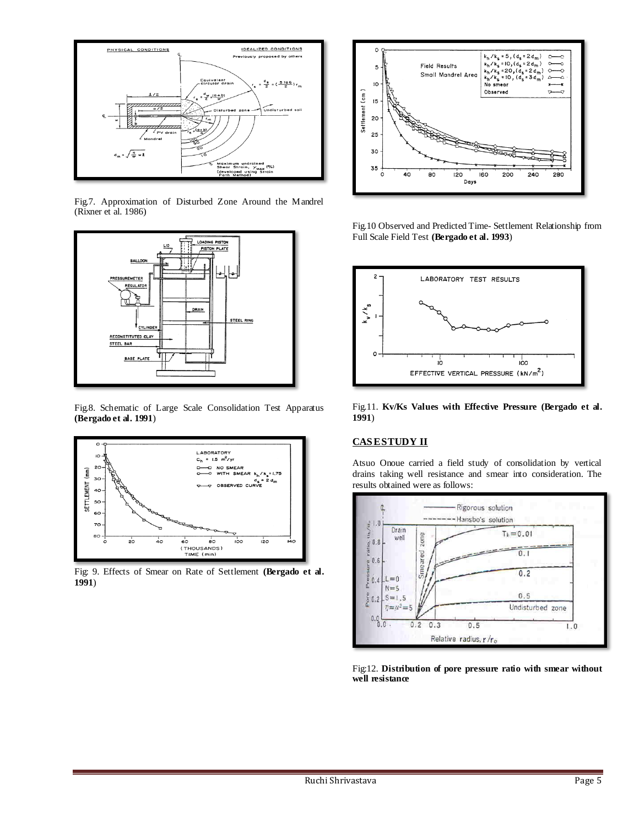

Fig.7. Approximation of Disturbed Zone Around the Mandrel (Rixner et al. 1986)



Fig.8. Schematic of Large Scale Consolidation Test Apparatus **(Bergado et al. 1991**)



Fig: 9. Effects of Smear on Rate of Settlement **(Bergado et al. 1991**)



Fig.10 Observed and Predicted Time- Settlement Relationship from Full Scale Field Test **(Bergado et al. 1993**)



Fig.11. **Kv/Ks Values with Effective Pressure (Bergado et al. 1991**)

## **CAS E STUDY II**

Atsuo Onoue carried a field study of consolidation by vertical drains taking well resistance and smear into consideration. The results obtained were as follows:



Fig:12. **Distribution of pore pressure ratio with smear without well resistance**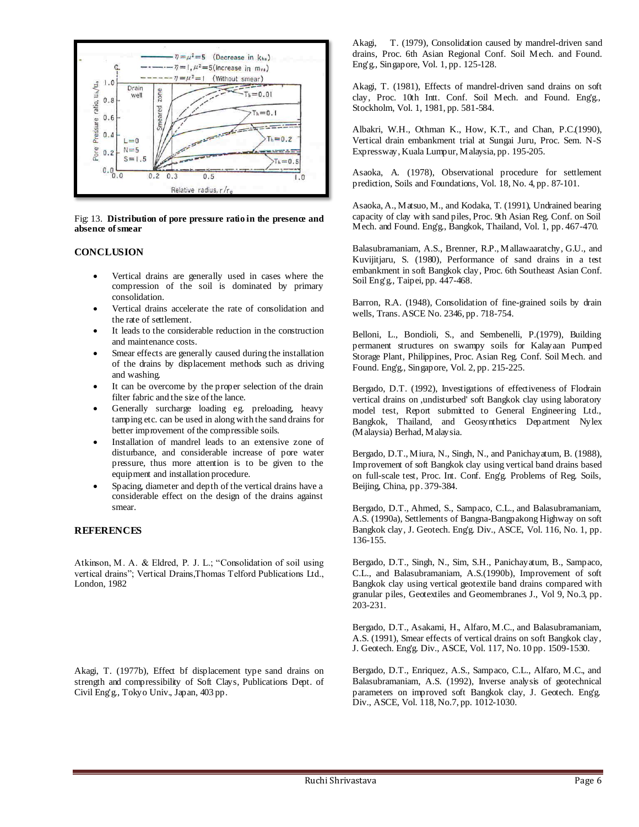

Fig: 13. **Distribution of pore pressure ratio in the presence and absence of smear**

#### **CONCLUSION**

- Vertical drains are generally used in cases where the compression of the soil is dominated by primary consolidation.
- Vertical drains accelerate the rate of consolidation and the rate of settlement.
- It leads to the considerable reduction in the construction and maintenance costs.
- Smear effects are generally caused during the installation of the drains by displacement methods such as driving and washing.
- It can be overcome by the proper selection of the drain filter fabric and the size of the lance.
- Generally surcharge loading eg. preloading, heavy tamping etc. can be used in along with the sand drains for better improvement of the compressible soils.
- Installation of mandrel leads to an extensive zone of disturbance, and considerable increase of pore water pressure, thus more attention is to be given to the equipment and installation procedure.
- Spacing, diameter and depth of the vertical drains have a considerable effect on the design of the drains against smear.

#### **REFERENCES**

Atkinson, M. A. & Eldred, P. J. L.; "Consolidation of soil using vertical drains"; Vertical Drains,Thomas Telford Publications Ltd., London, 1982

Akagi, T. (1977b), Effect bf displacement type sand drains on strength and compressibility of Soft Clays, Publications Dept. of Civil Eng'g., Tokyo Univ., Japan, 403 pp.

Akagi, T. (1979), Consolidation caused by mandrel-driven sand drains, Proc. 6th Asian Regional Conf. Soil Mech. and Found. Eng'g., Singapore, Vol. 1, pp. 125-128.

Akagi, T. (1981), Effects of mandrel-driven sand drains on soft clay, Proc. 10th Intt. Conf. Soil Mech. and Found. Eng'g., Stockholm, Vol. 1, 1981, pp. 581-584.

Albakri, W.H., Othman K., How, K.T., and Chan, P.C.(1990), Vertical drain embankment trial at Sungai Juru, Proc. Sem. N-S Expressway, Kuala Lumpur, Malaysia, pp. 195-205.

Asaoka, A. (1978), Observational procedure for settlement prediction, Soils and Foundations, Vol. 18, No. 4, pp. 87-101.

Asaoka, A., Matsuo, M., and Kodaka, T. (1991), Undrained bearing capacity of clay with sand piles, Proc. 9th Asian Reg. Conf. on Soil Mech. and Found. Eng'g., Bangkok, Thailand, Vol. 1, pp. 467-470.

Balasubramaniam, A.S., Brenner, R.P., Mallawaaratchy, G.U., and Kuvijitjaru, S. (1980), Performance of sand drains in a test embankment in soft Bangkok clay, Proc. 6th Southeast Asian Conf. Soil Eng'g., Taipei, pp. 447-468.

Barron, R.A. (1948), Consolidation of fine-grained soils by drain wells, Trans. ASCE No. 2346, pp. 718-754.

Belloni, L., Bondioli, S., and Sembenelli, P.(1979), Building permanent structures on swampy soils for Kalayaan Pumped Storage Plant, Philippines, Proc. Asian Reg. Conf. Soil Mech. and Found. Eng'g., Singapore, Vol. 2, pp. 215-225.

Bergado, D.T. (1992), Investigations of effectiveness of Flodrain vertical drains on ,undisturbed' soft Bangkok clay using laboratory model test, Report submitted to General Engineering Ltd., Bangkok, Thailand, and Geosynthetics Department Nylex (Malaysia) Berhad, Malaysia.

Bergado, D.T., Miura, N., Singh, N., and Panichayatum, B. (1988), Improvement of soft Bangkok clay using vertical band drains based on full-scale test, Proc. Int. Conf. Eng'g. Problems of Reg. Soils, Beijing, China, pp. 379-384.

Bergado, D.T., Ahmed, S., Sampaco, C.L., and Balasubramaniam, A.S. (1990a), Settlements of Bangna-Bangpakong Highway on soft Bangkok clay, J. Geotech. Eng'g. Div., ASCE, Vol. 116, No. 1, pp. 136-155.

Bergado, D.T., Singh, N., Sim, S.H., Panichayatum, B., Sampaco, C.L., and Balasubramaniam, A.S.(1990b), Improvement of soft Bangkok clay using vertical geotextile band drains compared with granular piles, Geotextiles and Geomembranes J., Vol 9, No.3, pp. 203-231.

Bergado, D.T., Asakami, H., Alfaro, M.C., and Balasubramaniam, A.S. (1991), Smear effects of vertical drains on soft Bangkok clay, J. Geotech. Eng'g. Div., ASCE, Vol. 117, No. 10 pp. 1509-1530.

Bergado, D.T., Enriquez, A.S., Sampaco, C.L., Alfaro, M.C., and Balasubramaniam, A.S. (1992), Inverse analysis of geotechnical parameters on improved soft Bangkok clay, J. Geotech. Eng'g. Div., ASCE, Vol. 118, No.7, pp. 1012-1030.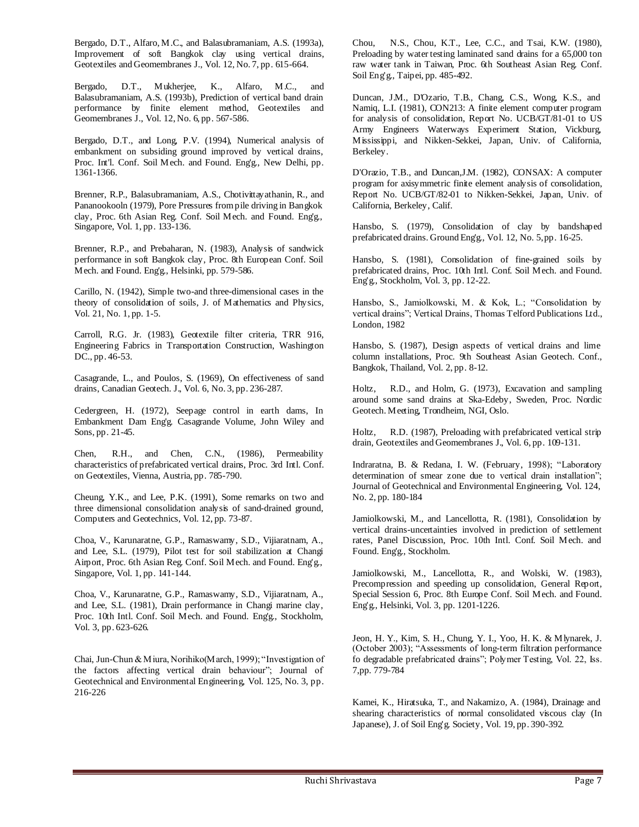Bergado, D.T., Alfaro, M.C., and Balasubramaniam, A.S. (1993a), Improvement of soft Bangkok clay using vertical drains, Geotextiles and Geomembranes J., Vol. 12, No. 7, pp. 615-664.

Bergado, D.T., Mukherjee, K., Alfaro, M.C., and Balasubramaniam, A.S. (1993b), Prediction of vertical band drain performance by finite element method, Geotextiles and Geomembranes J., Vol. 12, No. 6, pp. 567-586.

Bergado, D.T., and Long, P.V. (1994), Numerical analysis of embankment on subsiding ground improved by vertical drains, Proc. Int'l. Conf. Soil Mech. and Found. Eng'g., New Delhi, pp. 1361-1366.

Brenner, R.P., Balasubramaniam, A.S., Chotivittayathanin, R., and Pananookooln (1979), Pore Pressures from pile driving in Bangkok clay, Proc. 6th Asian Reg. Conf. Soil Mech. and Found. Eng'g., Singapore, Vol. 1, pp. 133-136.

Brenner, R.P., and Prebaharan, N. (1983), Analysis of sandwick performance in soft Bangkok clay, Proc. 8th European Conf. Soil Mech. and Found. Eng'g., Helsinki, pp. 579-586.

Carillo, N. (1942), Simple two-and three-dimensional cases in the theory of consolidation of soils, J. of Mathematics and Physics, Vol. 21, No. 1, pp. 1-5.

Carroll, R.G. Jr. (1983), Geotextile filter criteria, TRR 916, Engineering Fabrics in Transportation Construction, Washington DC., pp. 46-53.

Casagrande, L., and Poulos, S. (1969), On effectiveness of sand drains, Canadian Geotech. J., Vol. 6, No. 3, pp. 236-287.

Cedergreen, H. (1972), Seepage control in earth dams, In Embankment Dam Eng'g. Casagrande Volume, John Wiley and Sons, pp. 21-45.

Chen, R.H., and Chen, C.N., (1986), Permeability characteristics of prefabricated vertical drains, Proc. 3rd Intl. Conf. on Geotextiles, Vienna, Austria, pp. 785-790.

Cheung, Y.K., and Lee, P.K. (1991), Some remarks on two and three dimensional consolidation analysis of sand-drained ground, Computers and Geotechnics, Vol. 12, pp. 73-87.

Choa, V., Karunaratne, G.P., Ramaswamy, S.D., Vijiaratnam, A., and Lee, S.L. (1979), Pilot test for soil stabilization at Changi Airport, Proc. 6th Asian Reg. Conf. Soil Mech. and Found. Eng'g., Singapore, Vol. 1, pp. 141-144.

Choa, V., Karunaratne, G.P., Ramaswamy, S.D., Vijiaratnam, A., and Lee, S.L. (1981), Drain performance in Changi marine clay, Proc. 10th Intl. Conf. Soil Mech. and Found. Eng'g., Stockholm, Vol. 3, pp. 623-626.

Chai, Jun-Chun & Miura, Norihiko(March, 1999); "Investigation of the factors affecting vertical drain behaviour"; Journal of Geotechnical and Environmental Engineering, Vol. 125, No. 3, pp. 216-226

Chou, N.S., Chou, K.T., Lee, C.C., and Tsai, K.W. (1980), Preloading by water testing laminated sand drains for a 65,000 ton raw water tank in Taiwan, Proc. 6th Southeast Asian Reg. Conf. Soil Eng'g., Taipei, pp. 485-492.

Duncan, J.M., D'Ozario, T.B., Chang, C.S., Wong, K.S., and Namiq, L.I. (1981), CON213: A finite element computer program for analysis of consolidation, Report No. UCB/GT/81-01 to US Army Engineers Waterways Experiment Station, Vickburg, Mississippi, and Nikken-Sekkei, Japan, Univ. of California, Berkeley.

D'Orazio, T.B., and Duncan,J.M. (1982), CONSAX: A computer program for axisymmetric finite element analysis of consolidation, Report No. UCB/GT/82-01 to Nikken-Sekkei, Japan, Univ. of California, Berkeley, Calif.

Hansbo, S. (1979), Consolidation of clay by bandshaped prefabricated drains. Ground Eng'g., Vol. 12, No. 5, pp. 16-25.

Hansbo, S. (1981), Consolidation of fine-grained soils by prefabricated drains, Proc. 10th Intl. Conf. Soil Mech. and Found. Eng'g., Stockholm, Vol. 3, pp. 12-22.

Hansbo, S., Jamiolkowski, M. & Kok, L.; "Consolidation by vertical drains"; Vertical Drains, Thomas Telford Publications Ltd., London, 1982

Hansbo, S. (1987), Design aspects of vertical drains and lime column installations, Proc. 9th Southeast Asian Geotech. Conf., Bangkok, Thailand, Vol. 2, pp. 8-12.

Holtz, R.D., and Holm, G. (1973), Excavation and sampling around some sand drains at Ska-Edeby, Sweden, Proc. Nordic Geotech. Meeting, Trondheim, NGI, Oslo.

Holtz, R.D. (1987), Preloading with prefabricated vertical strip drain, Geotextiles and Geomembranes J., Vol. 6, pp. 109-131.

Indraratna, B. & Redana, I. W. (February, 1998); "Laboratory determination of smear zone due to vertical drain installation"; Journal of Geotechnical and Environmental Engineering, Vol. 124, No. 2, pp. 180-184

Jamiolkowski, M., and Lancellotta, R. (1981), Consolidation by vertical drains-uncertainties involved in prediction of settlement rates, Panel Discussion, Proc. 10th Intl. Conf. Soil Mech. and Found. Eng'g., Stockholm.

Jamiolkowski, M., Lancellotta, R., and Wolski, W. (1983), Precompression and speeding up consolidation, General Report, Special Session 6, Proc. 8th Europe Conf. Soil Mech. and Found. Eng'g., Helsinki, Vol. 3, pp. 1201-1226.

Jeon, H. Y., Kim, S. H., Chung, Y. I., Yoo, H. K. & Mlynarek, J. (October 2003); "Assessments of long-term filtration performance fo degradable prefabricated drains"; Polymer Testing, Vol. 22, Iss. 7,pp. 779-784

Kamei, K., Hiratsuka, T., and Nakamizo, A. (1984), Drainage and shearing characteristics of normal consolidated viscous clay (In Japanese), J. of Soil Eng'g. Society, Vol. 19, pp. 390-392.